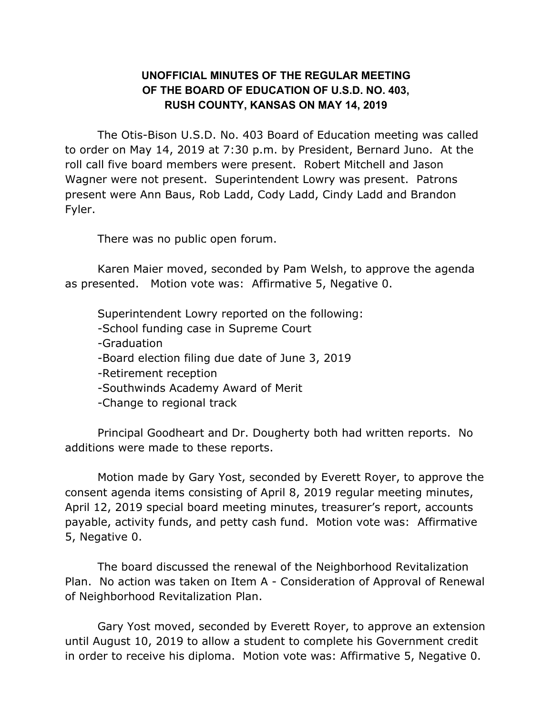## **UNOFFICIAL MINUTES OF THE REGULAR MEETING OF THE BOARD OF EDUCATION OF U.S.D. NO. 403, RUSH COUNTY, KANSAS ON MAY 14, 2019**

The Otis-Bison U.S.D. No. 403 Board of Education meeting was called to order on May 14, 2019 at 7:30 p.m. by President, Bernard Juno. At the roll call five board members were present. Robert Mitchell and Jason Wagner were not present. Superintendent Lowry was present. Patrons present were Ann Baus, Rob Ladd, Cody Ladd, Cindy Ladd and Brandon Fyler.

There was no public open forum.

Karen Maier moved, seconded by Pam Welsh, to approve the agenda as presented. Motion vote was: Affirmative 5, Negative 0.

Superintendent Lowry reported on the following:

-School funding case in Supreme Court

-Graduation

-Board election filing due date of June 3, 2019

-Retirement reception

-Southwinds Academy Award of Merit

-Change to regional track

Principal Goodheart and Dr. Dougherty both had written reports. No additions were made to these reports.

Motion made by Gary Yost, seconded by Everett Royer, to approve the consent agenda items consisting of April 8, 2019 regular meeting minutes, April 12, 2019 special board meeting minutes, treasurer's report, accounts payable, activity funds, and petty cash fund. Motion vote was: Affirmative 5, Negative 0.

The board discussed the renewal of the Neighborhood Revitalization Plan. No action was taken on Item A - Consideration of Approval of Renewal of Neighborhood Revitalization Plan.

Gary Yost moved, seconded by Everett Royer, to approve an extension until August 10, 2019 to allow a student to complete his Government credit in order to receive his diploma. Motion vote was: Affirmative 5, Negative 0.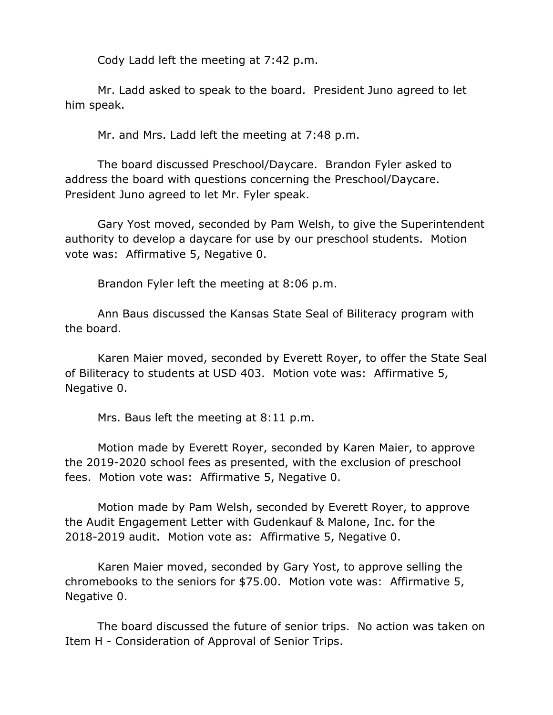Cody Ladd left the meeting at 7:42 p.m.

Mr. Ladd asked to speak to the board. President Juno agreed to let him speak.

Mr. and Mrs. Ladd left the meeting at 7:48 p.m.

The board discussed Preschool/Daycare. Brandon Fyler asked to address the board with questions concerning the Preschool/Daycare. President Juno agreed to let Mr. Fyler speak.

Gary Yost moved, seconded by Pam Welsh, to give the Superintendent authority to develop a daycare for use by our preschool students. Motion vote was: Affirmative 5, Negative 0.

Brandon Fyler left the meeting at 8:06 p.m.

Ann Baus discussed the Kansas State Seal of Biliteracy program with the board.

Karen Maier moved, seconded by Everett Royer, to offer the State Seal of Biliteracy to students at USD 403. Motion vote was: Affirmative 5, Negative 0.

Mrs. Baus left the meeting at 8:11 p.m.

Motion made by Everett Royer, seconded by Karen Maier, to approve the 2019-2020 school fees as presented, with the exclusion of preschool fees. Motion vote was: Affirmative 5, Negative 0.

Motion made by Pam Welsh, seconded by Everett Royer, to approve the Audit Engagement Letter with Gudenkauf & Malone, Inc. for the 2018-2019 audit. Motion vote as: Affirmative 5, Negative 0.

Karen Maier moved, seconded by Gary Yost, to approve selling the chromebooks to the seniors for \$75.00. Motion vote was: Affirmative 5, Negative 0.

The board discussed the future of senior trips. No action was taken on Item H - Consideration of Approval of Senior Trips.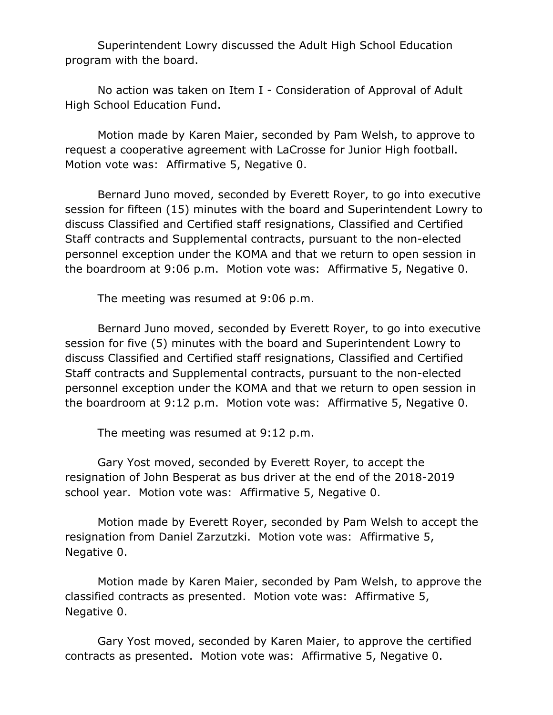Superintendent Lowry discussed the Adult High School Education program with the board.

No action was taken on Item I - Consideration of Approval of Adult High School Education Fund.

Motion made by Karen Maier, seconded by Pam Welsh, to approve to request a cooperative agreement with LaCrosse for Junior High football. Motion vote was: Affirmative 5, Negative 0.

Bernard Juno moved, seconded by Everett Royer, to go into executive session for fifteen (15) minutes with the board and Superintendent Lowry to discuss Classified and Certified staff resignations, Classified and Certified Staff contracts and Supplemental contracts, pursuant to the non-elected personnel exception under the KOMA and that we return to open session in the boardroom at 9:06 p.m. Motion vote was: Affirmative 5, Negative 0.

The meeting was resumed at 9:06 p.m.

Bernard Juno moved, seconded by Everett Royer, to go into executive session for five (5) minutes with the board and Superintendent Lowry to discuss Classified and Certified staff resignations, Classified and Certified Staff contracts and Supplemental contracts, pursuant to the non-elected personnel exception under the KOMA and that we return to open session in the boardroom at 9:12 p.m. Motion vote was: Affirmative 5, Negative 0.

The meeting was resumed at 9:12 p.m.

Gary Yost moved, seconded by Everett Royer, to accept the resignation of John Besperat as bus driver at the end of the 2018-2019 school year. Motion vote was: Affirmative 5, Negative 0.

Motion made by Everett Royer, seconded by Pam Welsh to accept the resignation from Daniel Zarzutzki. Motion vote was: Affirmative 5, Negative 0.

Motion made by Karen Maier, seconded by Pam Welsh, to approve the classified contracts as presented. Motion vote was: Affirmative 5, Negative 0.

Gary Yost moved, seconded by Karen Maier, to approve the certified contracts as presented. Motion vote was: Affirmative 5, Negative 0.